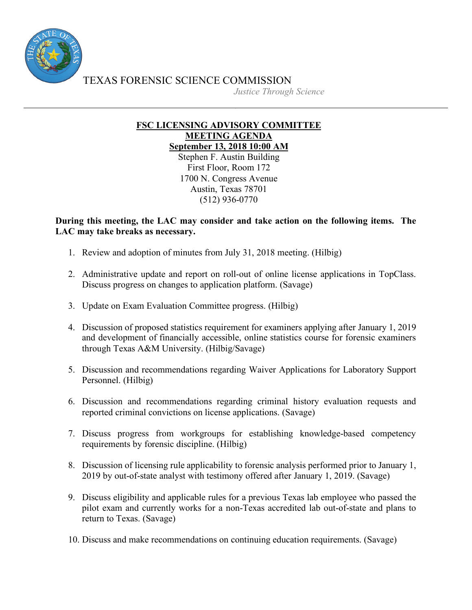

TEXAS FORENSIC SCIENCE COMMISSION

*Justice Through Science*

## **FSC LICENSING ADVISORY COMMITTEE MEETING AGENDA September 13, 2018 10:00 AM**

Stephen F. Austin Building First Floor, Room 172 1700 N. Congress Avenue Austin, Texas 78701 (512) 936-0770

## **During this meeting, the LAC may consider and take action on the following items. The LAC may take breaks as necessary.**

- 1. Review and adoption of minutes from July 31, 2018 meeting. (Hilbig)
- 2. Administrative update and report on roll-out of online license applications in TopClass. Discuss progress on changes to application platform. (Savage)
- 3. Update on Exam Evaluation Committee progress. (Hilbig)
- 4. Discussion of proposed statistics requirement for examiners applying after January 1, 2019 and development of financially accessible, online statistics course for forensic examiners through Texas A&M University. (Hilbig/Savage)
- 5. Discussion and recommendations regarding Waiver Applications for Laboratory Support Personnel. (Hilbig)
- 6. Discussion and recommendations regarding criminal history evaluation requests and reported criminal convictions on license applications. (Savage)
- 7. Discuss progress from workgroups for establishing knowledge-based competency requirements by forensic discipline. (Hilbig)
- 8. Discussion of licensing rule applicability to forensic analysis performed prior to January 1, 2019 by out-of-state analyst with testimony offered after January 1, 2019. (Savage)
- 9. Discuss eligibility and applicable rules for a previous Texas lab employee who passed the pilot exam and currently works for a non-Texas accredited lab out-of-state and plans to return to Texas. (Savage)
- 10. Discuss and make recommendations on continuing education requirements. (Savage)